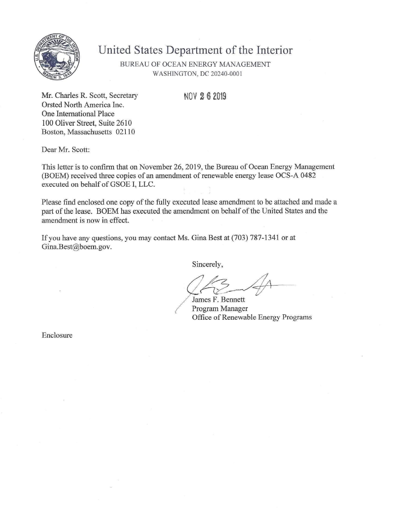

# **United States Department of the Interior**

BUREAU OF OCEAN ENERGY MANAGEMENT WASHINGTON, DC 20240-0001

NOV 2 6 2019

Mr. Charles R. Scott, Secretary Orsted North America Inc. One Intemational Place 100 Oliver Street, Suite 2610 Boston, Massachusetts 02110

Dear Mr. Scott:

This letter is to confirm that on November 26, 2019, the Bureau of Ocean Energy Management (BOEM) received three copies of an amendment of renewable energy lease OCS-A 0482 executed on behalf of GSOE I, LLC.

Please find enclosed one copy of the fully executed lease amendment to be attached and made a part of the lease. BOEM has executed the amendment on behalf of the United States and the amendment is now in effect.

If you have any questions, you may contact Ms. Gina Best at (703) 787-1341 or at Gina.Best@boem.gov.

Sincerely,

James F. Bennett Program Manager Office of Renewable Energy Programs

Enclosure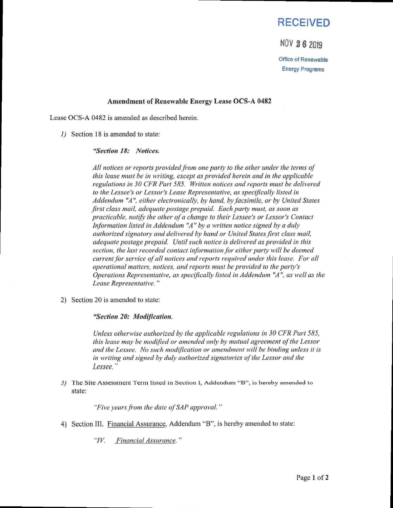## **RECEIVED**

### NOV 2 6 2019

Office of Renewable Energy Programs

### **Amendment of Renewable Energy Lease OCS-A 0482**

Lease OCS-A 0482 is amended as described herein.

1) Section 18 is amended to state:

### *"Section 18: Notices.*

*All notices or reports provided from one party to the other under the terms of this lease must he in writing, except as provided herein and in the applicable regulations in 30 CFR Part 585. Written notices and reports must be delivered to the Lessee's or Lessor's Lease Representative, as specifically listed in Addendum "A ", either electronically, by hand, by facsimile, or by United States first class mail, adequate postage prepaid. Each party must, as soon as practicable, notify the other ofa change to their Lessee's or Lessor's Contact Information listed in Addendum "A" by a written notice signed by a duly authorized signatory and delivered by hand or United Stales first class mail, adequate postage prepaid. Until such notice is delivered as provided in this*  section, the last recorded contact information for either party will be deemed *current for sen'ice of all notices and reports required under this lease. For all operational matters, notices, and reports must be provided to the party's Operations Representative, as specifically listed in Addendum "A ", as well as the Lease Representative. "* 

2) Section 20 is amended to state:

*"Section 20: Modification.* 

*Unless otherwise authorized by the applicable regulations in 30 CFR Part 585, this lease may be modified or amended only by mutual agreement ofthe Lessor and ihe Lessee. No such modification or amendment will be binding unless il is in writing and signed by duly authorized signatories of the Lessor and the Lessee."* 

3) The Site Assessment Term listed in Section I, Addendum "B", is hereby amended to state:

*"Five years from ihe dale of SAP approval. "* 

*4) Section III. Financial Assurance, Addendum "B", is hereby amended to state:* 

" $IV$ . *"IV. Financial Assurance. "*